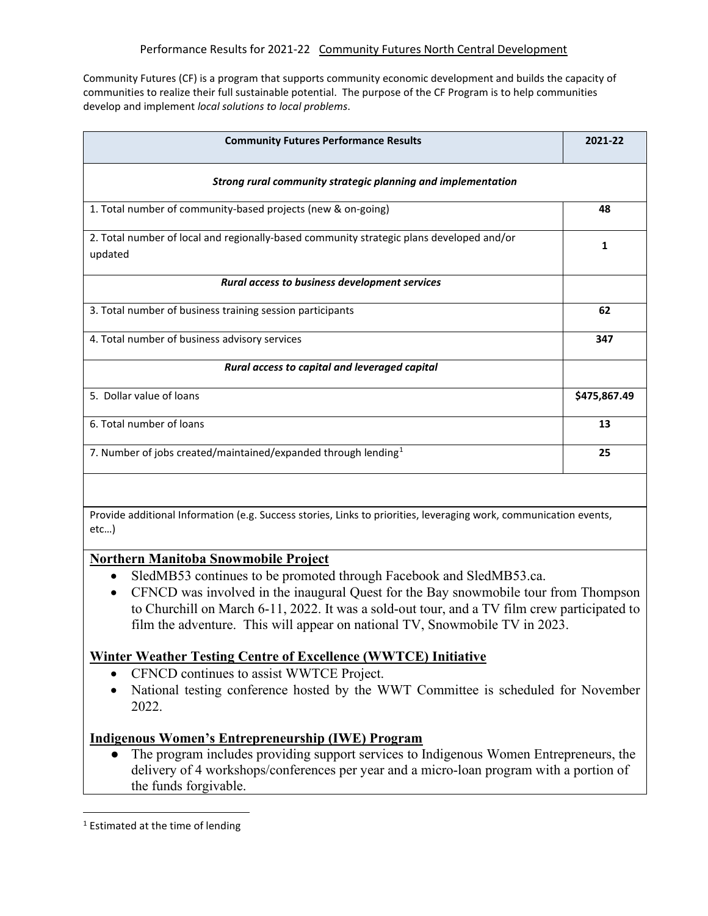Community Futures (CF) is a program that supports community economic development and builds the capacity of communities to realize their full sustainable potential. The purpose of the CF Program is to help communities develop and implement *local solutions to local problems*.

| <b>Community Futures Performance Results</b>                                                        | 2021-22      |
|-----------------------------------------------------------------------------------------------------|--------------|
| Strong rural community strategic planning and implementation                                        |              |
| 1. Total number of community-based projects (new & on-going)                                        | 48           |
| 2. Total number of local and regionally-based community strategic plans developed and/or<br>updated | 1            |
| Rural access to business development services                                                       |              |
| 3. Total number of business training session participants                                           | 62           |
| 4. Total number of business advisory services                                                       | 347          |
| Rural access to capital and leveraged capital                                                       |              |
| 5. Dollar value of loans                                                                            | \$475,867.49 |
| 6. Total number of loans                                                                            | 13           |
| 7. Number of jobs created/maintained/expanded through lending <sup>1</sup>                          | 25           |
|                                                                                                     |              |

Provide additional Information (e.g. Success stories, Links to priorities, leveraging work, communication events, etc…)

### **Northern Manitoba Snowmobile Project**

- SledMB53 continues to be promoted through Facebook and SledMB53.ca.
- CFNCD was involved in the inaugural Quest for the Bay snowmobile tour from Thompson to Churchill on March 6-11, 2022. It was a sold-out tour, and a TV film crew participated to film the adventure. This will appear on national TV, Snowmobile TV in 2023.

### **Winter Weather Testing Centre of Excellence (WWTCE) Initiative**

- CFNCD continues to assist WWTCE Project.
- National testing conference hosted by the WWT Committee is scheduled for November 2022.

### **Indigenous Women's Entrepreneurship (IWE) Program**

● The program includes providing support services to Indigenous Women Entrepreneurs, the delivery of 4 workshops/conferences per year and a micro-loan program with a portion of the funds forgivable.

<span id="page-0-0"></span><sup>&</sup>lt;sup>1</sup> Estimated at the time of lending